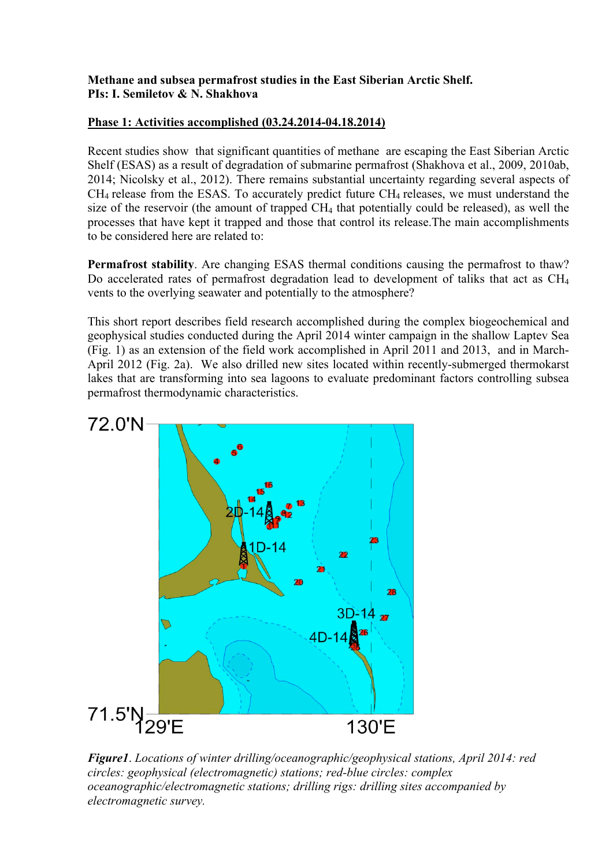## **Methane and subsea permafrost studies in the East Siberian Arctic Shelf. PIs: I. Semiletov & N. Shakhova**

## **Phase 1: Activities accomplished (03.24.2014-04.18.2014)**

Recent studies show that significant quantities of methane are escaping the East Siberian Arctic Shelf (ESAS) as a result of degradation of submarine permafrost (Shakhova et al., 2009, 2010ab, 2014; Nicolsky et al., 2012). There remains substantial uncertainty regarding several aspects of  $CH<sub>4</sub>$  release from the ESAS. To accurately predict future  $CH<sub>4</sub>$  releases, we must understand the size of the reservoir (the amount of trapped CH4 that potentially could be released), as well the processes that have kept it trapped and those that control its release.The main accomplishments to be considered here are related to:

**Permafrost stability**. Are changing ESAS thermal conditions causing the permafrost to thaw? Do accelerated rates of permafrost degradation lead to development of taliks that act as CH<sub>4</sub> vents to the overlying seawater and potentially to the atmosphere?

This short report describes field research accomplished during the complex biogeochemical and geophysical studies conducted during the April 2014 winter campaign in the shallow Laptev Sea (Fig. 1) as an extension of the field work accomplished in April 2011 and 2013, and in March-April 2012 (Fig. 2a). We also drilled new sites located within recently-submerged thermokarst lakes that are transforming into sea lagoons to evaluate predominant factors controlling subsea permafrost thermodynamic characteristics.



*Figure1*. *Locations of winter drilling/oceanographic/geophysical stations, April 2014: red circles: geophysical (electromagnetic) stations; red-blue circles: complex oceanographic/electromagnetic stations; drilling rigs: drilling sites accompanied by electromagnetic survey.*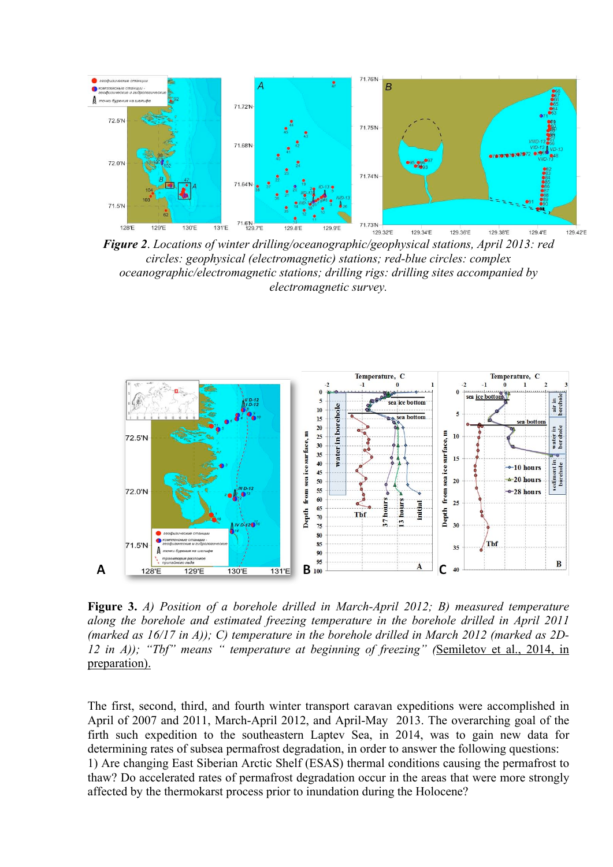

*Figure 2*. *Locations of winter drilling/oceanographic/geophysical stations, April 2013: red circles: geophysical (electromagnetic) stations; red-blue circles: complex oceanographic/electromagnetic stations; drilling rigs: drilling sites accompanied by electromagnetic survey.*



**Figure 3.** *A) Position of a borehole drilled in March-April 2012; B) measured temperature along the borehole and estimated freezing temperature in the borehole drilled in April 2011 (marked as 16/17 in A)); C) temperature in the borehole drilled in March 2012 (marked as 2D-12 in A)); "Tbf" means " temperature at beginning of freezing" (*Semiletov et al., 2014, in preparation).

The first, second, third, and fourth winter transport caravan expeditions were accomplished in April of 2007 and 2011, March-April 2012, and April-May 2013. The overarching goal of the firth such expedition to the southeastern Laptev Sea, in 2014, was to gain new data for determining rates of subsea permafrost degradation, in order to answer the following questions: 1) Are changing East Siberian Arctic Shelf (ESAS) thermal conditions causing the permafrost to thaw? Do accelerated rates of permafrost degradation occur in the areas that were more strongly affected by the thermokarst process prior to inundation during the Holocene?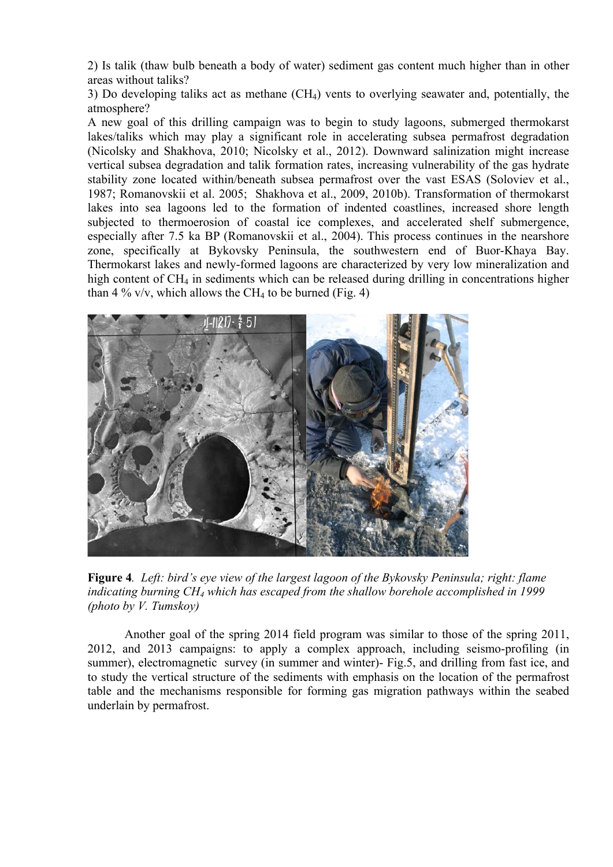2) Is talik (thaw bulb beneath a body of water) sediment gas content much higher than in other areas without taliks?

3) Do developing taliks act as methane (CH4) vents to overlying seawater and, potentially, the atmosphere?

A new goal of this drilling campaign was to begin to study lagoons, submerged thermokarst lakes/taliks which may play a significant role in accelerating subsea permafrost degradation (Nicolsky and Shakhova, 2010; Nicolsky et al., 2012). Downward salinization might increase vertical subsea degradation and talik formation rates, increasing vulnerability of the gas hydrate stability zone located within/beneath subsea permafrost over the vast ESAS (Soloviev et al., 1987; Romanovskii et al. 2005; Shakhova et al., 2009, 2010b). Transformation of thermokarst lakes into sea lagoons led to the formation of indented coastlines, increased shore length subjected to thermoerosion of coastal ice complexes, and accelerated shelf submergence, especially after 7.5 ka BP (Romanovskii et al., 2004). This process continues in the nearshore zone, specifically at Bykovsky Peninsula, the southwestern end of Buor-Khaya Bay. Thermokarst lakes and newly-formed lagoons are characterized by very low mineralization and high content of CH<sub>4</sub> in sediments which can be released during drilling in concentrations higher than 4 % v/v, which allows the CH<sub>4</sub> to be burned (Fig. 4)



**Figure 4***. Left: bird's eye view of the largest lagoon of the Bykovsky Peninsula; right: flame indicating burning CH4 which has escaped from the shallow borehole accomplished in 1999 (photo by V. Tumskoy)* 

Another goal of the spring 2014 field program was similar to those of the spring 2011, 2012, and 2013 campaigns: to apply a complex approach, including seismo-profiling (in summer), electromagnetic survey (in summer and winter)- Fig.5, and drilling from fast ice, and to study the vertical structure of the sediments with emphasis on the location of the permafrost table and the mechanisms responsible for forming gas migration pathways within the seabed underlain by permafrost.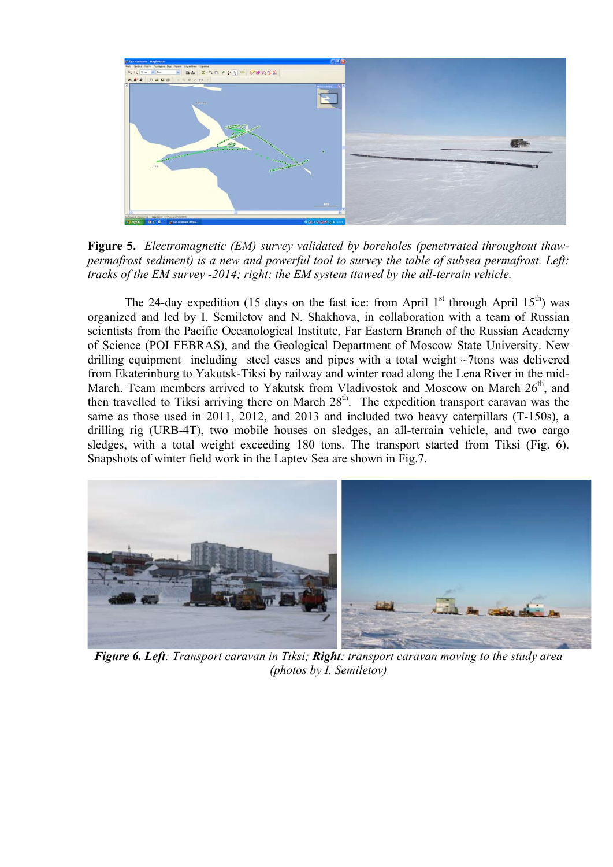

**Figure 5.** *Electromagnetic (EM) survey validated by boreholes (penetrrated throughout thawpermafrost sediment) is a new and powerful tool to survey the table of subsea permafrost. Left: tracks of the EM survey -2014; right: the EM system ttawed by the all-terrain vehicle.*

The 24-day expedition (15 days on the fast ice: from April  $1<sup>st</sup>$  through April  $15<sup>th</sup>$ ) was organized and led by I. Semiletov and N. Shakhova, in collaboration with a team of Russian scientists from the Pacific Oceanological Institute, Far Eastern Branch of the Russian Academy of Science (POI FEBRAS), and the Geological Department of Moscow State University. New drilling equipment including steel cases and pipes with a total weight ~7tons was delivered from Ekaterinburg to Yakutsk-Tiksi by railway and winter road along the Lena River in the mid-March. Team members arrived to Yakutsk from Vladivostok and Moscow on March  $26<sup>th</sup>$ , and then travelled to Tiksi arriving there on March  $28<sup>th</sup>$ . The expedition transport caravan was the same as those used in 2011, 2012, and 2013 and included two heavy caterpillars (T-150s), a drilling rig (URB-4T), two mobile houses on sledges, an all-terrain vehicle, and two cargo sledges, with a total weight exceeding 180 tons. The transport started from Tiksi (Fig. 6). Snapshots of winter field work in the Laptev Sea are shown in Fig.7.



*Figure 6. Left: Transport caravan in Tiksi; Right: transport caravan moving to the study area (photos by I. Semiletov)*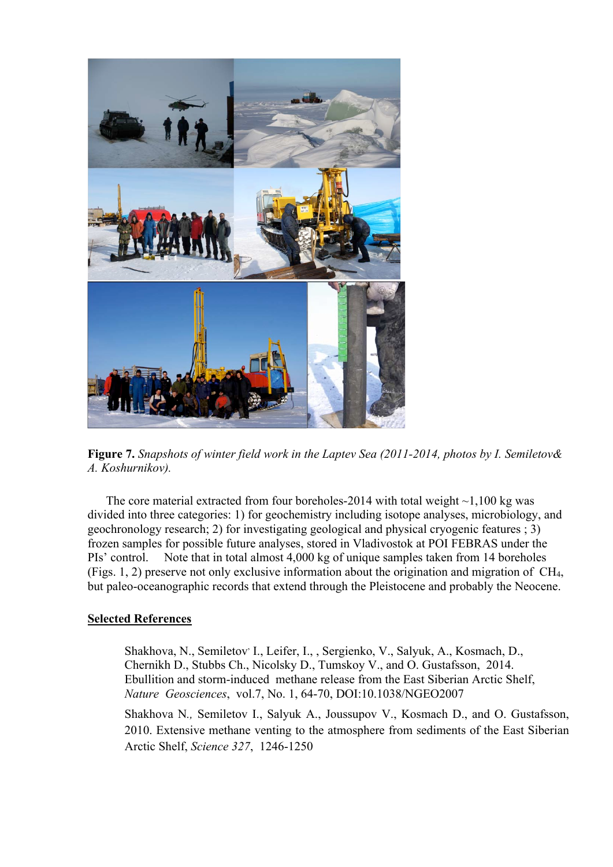

**Figure 7.** *Snapshots of winter field work in the Laptev Sea (2011-2014, photos by I. Semiletov& A. Koshurnikov).*

The core material extracted from four boreholes-2014 with total weight  $\sim$ 1,100 kg was divided into three categories: 1) for geochemistry including isotope analyses, microbiology, and geochronology research; 2) for investigating geological and physical cryogenic features ; 3) frozen samples for possible future analyses, stored in Vladivostok at POI FEBRAS under the PIs' control. Note that in total almost 4,000 kg of unique samples taken from 14 boreholes (Figs. 1, 2) preserve not only exclusive information about the origination and migration of CH4, but paleo-oceanographic records that extend through the Pleistocene and probably the Neocene.

## **Selected References**

Shakhova, N., Semiletov<sup>,</sup> I., Leifer, I., , Sergienko, V., Salyuk, A., Kosmach, D., Chernikh D., Stubbs Ch., Nicolsky D., Tumskoy V., and O. Gustafsson, 2014. Ebullition and storm-induced methane release from the East Siberian Arctic Shelf, *Nature Geosciences*, vol.7, No. 1, 64-70, DOI:10.1038/NGEO2007

Shakhova N*.,* Semiletov I., Salyuk A., Joussupov V., Kosmach D., and O. Gustafsson, 2010. Extensive methane venting to the atmosphere from sediments of the East Siberian Arctic Shelf, *Science 327*, 1246-1250